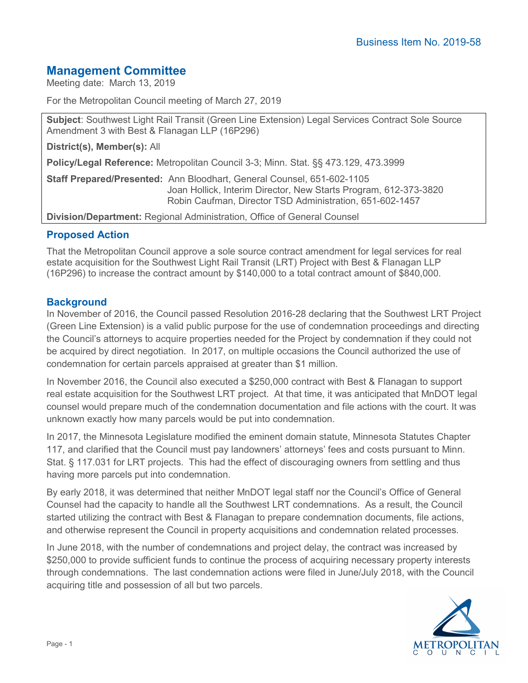# **Management Committee**

Meeting date: March 13, 2019

For the Metropolitan Council meeting of March 27, 2019

**Subject**: Southwest Light Rail Transit (Green Line Extension) Legal Services Contract Sole Source Amendment 3 with Best & Flanagan LLP (16P296)

**District(s), Member(s):** All

**Policy/Legal Reference:** Metropolitan Council 3-3; Minn. Stat. §§ 473.129, 473.3999

**Staff Prepared/Presented:** Ann Bloodhart, General Counsel, 651-602-1105 Joan Hollick, Interim Director, New Starts Program, 612-373-3820 Robin Caufman, Director TSD Administration, 651-602-1457

**Division/Department:** Regional Administration, Office of General Counsel

## **Proposed Action**

That the Metropolitan Council approve a sole source contract amendment for legal services for real estate acquisition for the Southwest Light Rail Transit (LRT) Project with Best & Flanagan LLP (16P296) to increase the contract amount by \$140,000 to a total contract amount of \$840,000.

## **Background**

In November of 2016, the Council passed Resolution 2016-28 declaring that the Southwest LRT Project (Green Line Extension) is a valid public purpose for the use of condemnation proceedings and directing the Council's attorneys to acquire properties needed for the Project by condemnation if they could not be acquired by direct negotiation. In 2017, on multiple occasions the Council authorized the use of condemnation for certain parcels appraised at greater than \$1 million.

In November 2016, the Council also executed a \$250,000 contract with Best & Flanagan to support real estate acquisition for the Southwest LRT project. At that time, it was anticipated that MnDOT legal counsel would prepare much of the condemnation documentation and file actions with the court. It was unknown exactly how many parcels would be put into condemnation.

In 2017, the Minnesota Legislature modified the eminent domain statute, Minnesota Statutes Chapter 117, and clarified that the Council must pay landowners' attorneys' fees and costs pursuant to Minn. Stat. § 117.031 for LRT projects. This had the effect of discouraging owners from settling and thus having more parcels put into condemnation.

By early 2018, it was determined that neither MnDOT legal staff nor the Council's Office of General Counsel had the capacity to handle all the Southwest LRT condemnations. As a result, the Council started utilizing the contract with Best & Flanagan to prepare condemnation documents, file actions, and otherwise represent the Council in property acquisitions and condemnation related processes.

In June 2018, with the number of condemnations and project delay, the contract was increased by \$250,000 to provide sufficient funds to continue the process of acquiring necessary property interests through condemnations. The last condemnation actions were filed in June/July 2018, with the Council acquiring title and possession of all but two parcels.